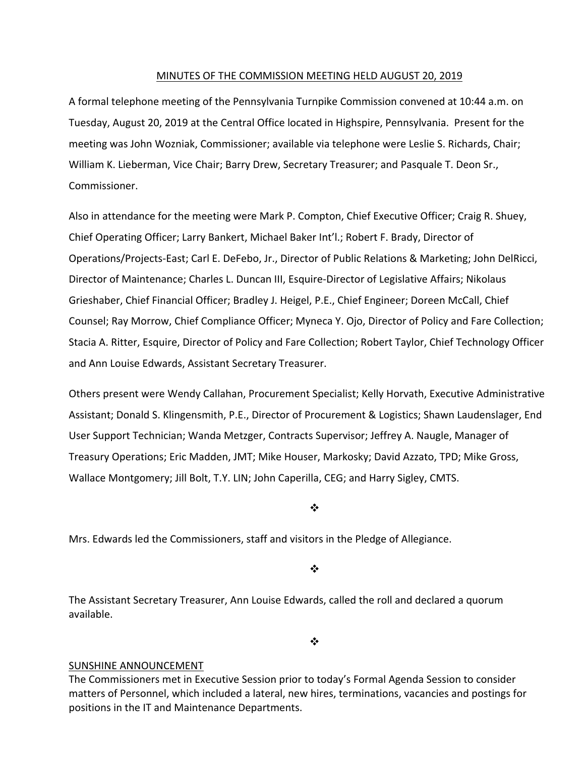#### MINUTES OF THE COMMISSION MEETING HELD AUGUST 20, 2019

A formal telephone meeting of the Pennsylvania Turnpike Commission convened at 10:44 a.m. on Tuesday, August 20, 2019 at the Central Office located in Highspire, Pennsylvania. Present for the meeting was John Wozniak, Commissioner; available via telephone were Leslie S. Richards, Chair; William K. Lieberman, Vice Chair; Barry Drew, Secretary Treasurer; and Pasquale T. Deon Sr., Commissioner.

Also in attendance for the meeting were Mark P. Compton, Chief Executive Officer; Craig R. Shuey, Chief Operating Officer; Larry Bankert, Michael Baker Int'l.; Robert F. Brady, Director of Operations/Projects‐East; Carl E. DeFebo, Jr., Director of Public Relations & Marketing; John DelRicci, Director of Maintenance; Charles L. Duncan III, Esquire‐Director of Legislative Affairs; Nikolaus Grieshaber, Chief Financial Officer; Bradley J. Heigel, P.E., Chief Engineer; Doreen McCall, Chief Counsel; Ray Morrow, Chief Compliance Officer; Myneca Y. Ojo, Director of Policy and Fare Collection; Stacia A. Ritter, Esquire, Director of Policy and Fare Collection; Robert Taylor, Chief Technology Officer and Ann Louise Edwards, Assistant Secretary Treasurer.

Others present were Wendy Callahan, Procurement Specialist; Kelly Horvath, Executive Administrative Assistant; Donald S. Klingensmith, P.E., Director of Procurement & Logistics; Shawn Laudenslager, End User Support Technician; Wanda Metzger, Contracts Supervisor; Jeffrey A. Naugle, Manager of Treasury Operations; Eric Madden, JMT; Mike Houser, Markosky; David Azzato, TPD; Mike Gross, Wallace Montgomery; Jill Bolt, T.Y. LIN; John Caperilla, CEG; and Harry Sigley, CMTS.

❖

Mrs. Edwards led the Commissioners, staff and visitors in the Pledge of Allegiance.

❖

The Assistant Secretary Treasurer, Ann Louise Edwards, called the roll and declared a quorum available.

 $\bullet^{\bullet}_{\bullet} \bullet$ 

#### SUNSHINE ANNOUNCEMENT

The Commissioners met in Executive Session prior to today's Formal Agenda Session to consider matters of Personnel, which included a lateral, new hires, terminations, vacancies and postings for positions in the IT and Maintenance Departments.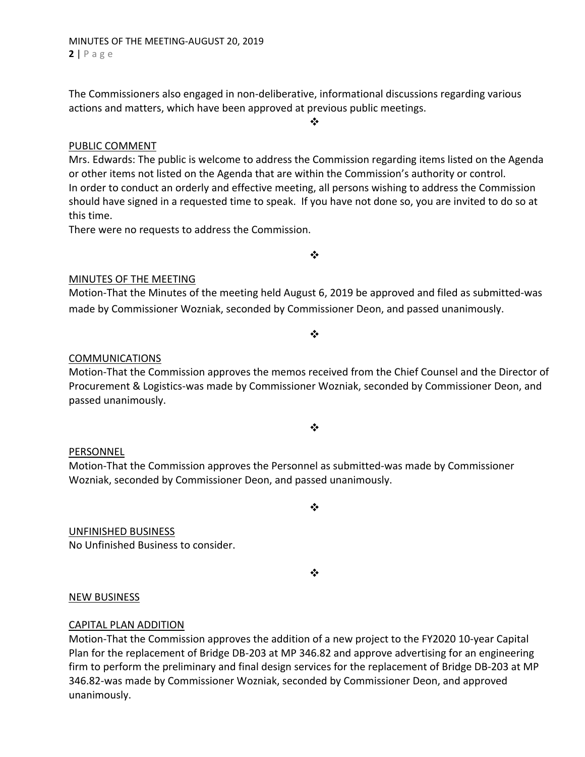The Commissioners also engaged in non‐deliberative, informational discussions regarding various actions and matters, which have been approved at previous public meetings.

#### ❖

# PUBLIC COMMENT

Mrs. Edwards: The public is welcome to address the Commission regarding items listed on the Agenda or other items not listed on the Agenda that are within the Commission's authority or control. In order to conduct an orderly and effective meeting, all persons wishing to address the Commission should have signed in a requested time to speak. If you have not done so, you are invited to do so at this time.

There were no requests to address the Commission.

 $\frac{1}{2}$ 

## MINUTES OF THE MEETING

Motion‐That the Minutes of the meeting held August 6, 2019 be approved and filed as submitted‐was made by Commissioner Wozniak, seconded by Commissioner Deon, and passed unanimously.

#### $\cdot$

## COMMUNICATIONS

Motion‐That the Commission approves the memos received from the Chief Counsel and the Director of Procurement & Logistics‐was made by Commissioner Wozniak, seconded by Commissioner Deon, and passed unanimously.

#### ❖

## PERSONNEL

Motion‐That the Commission approves the Personnel as submitted‐was made by Commissioner Wozniak, seconded by Commissioner Deon, and passed unanimously.

UNFINISHED BUSINESS

No Unfinished Business to consider.

 $\cdot$ 

❖

## NEW BUSINESS

## CAPITAL PLAN ADDITION

Motion‐That the Commission approves the addition of a new project to the FY2020 10‐year Capital Plan for the replacement of Bridge DB‐203 at MP 346.82 and approve advertising for an engineering firm to perform the preliminary and final design services for the replacement of Bridge DB‐203 at MP 346.82‐was made by Commissioner Wozniak, seconded by Commissioner Deon, and approved unanimously.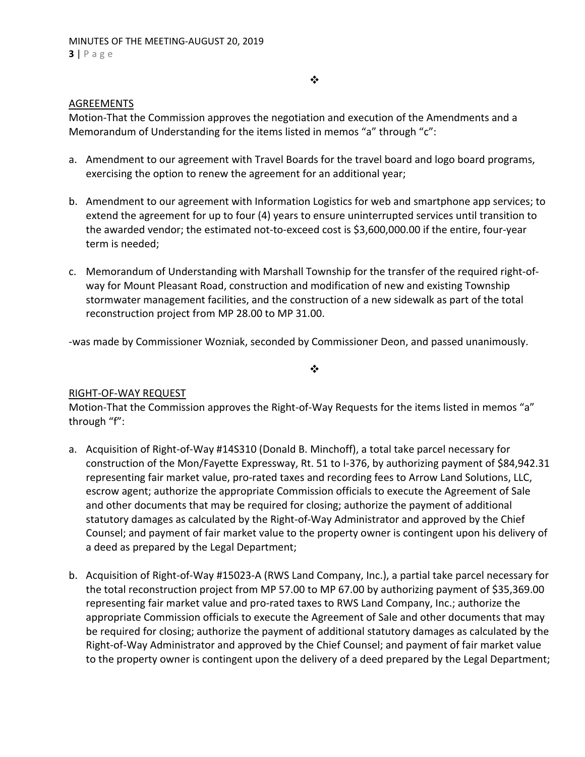#### $\bullet \bullet$

# AGREEMENTS

Motion‐That the Commission approves the negotiation and execution of the Amendments and a Memorandum of Understanding for the items listed in memos "a" through "c":

- a. Amendment to our agreement with Travel Boards for the travel board and logo board programs, exercising the option to renew the agreement for an additional year;
- b. Amendment to our agreement with Information Logistics for web and smartphone app services; to extend the agreement for up to four (4) years to ensure uninterrupted services until transition to the awarded vendor; the estimated not‐to‐exceed cost is \$3,600,000.00 if the entire, four‐year term is needed;
- c. Memorandum of Understanding with Marshall Township for the transfer of the required right‐of‐ way for Mount Pleasant Road, construction and modification of new and existing Township stormwater management facilities, and the construction of a new sidewalk as part of the total reconstruction project from MP 28.00 to MP 31.00.

‐was made by Commissioner Wozniak, seconded by Commissioner Deon, and passed unanimously.

 $\bullet^{\bullet}_{\bullet} \bullet$ 

# RIGHT‐OF‐WAY REQUEST

Motion-That the Commission approves the Right-of-Way Requests for the items listed in memos "a" through "f":

- a. Acquisition of Right‐of‐Way #14S310 (Donald B. Minchoff), a total take parcel necessary for construction of the Mon/Fayette Expressway, Rt. 51 to I‐376, by authorizing payment of \$84,942.31 representing fair market value, pro-rated taxes and recording fees to Arrow Land Solutions, LLC, escrow agent; authorize the appropriate Commission officials to execute the Agreement of Sale and other documents that may be required for closing; authorize the payment of additional statutory damages as calculated by the Right‐of‐Way Administrator and approved by the Chief Counsel; and payment of fair market value to the property owner is contingent upon his delivery of a deed as prepared by the Legal Department;
- b. Acquisition of Right‐of‐Way #15023‐A (RWS Land Company, Inc.), a partial take parcel necessary for the total reconstruction project from MP 57.00 to MP 67.00 by authorizing payment of \$35,369.00 representing fair market value and pro‐rated taxes to RWS Land Company, Inc.; authorize the appropriate Commission officials to execute the Agreement of Sale and other documents that may be required for closing; authorize the payment of additional statutory damages as calculated by the Right‐of‐Way Administrator and approved by the Chief Counsel; and payment of fair market value to the property owner is contingent upon the delivery of a deed prepared by the Legal Department;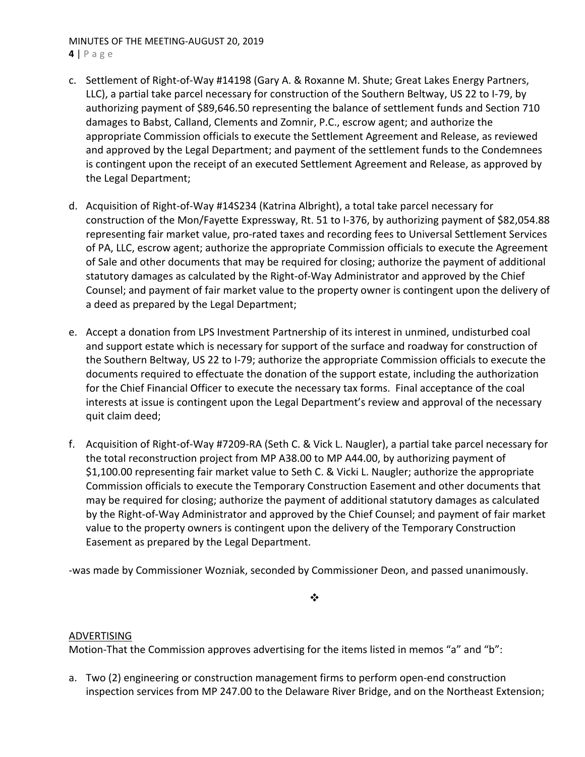#### MINUTES OF THE MEETING‐AUGUST 20, 2019 **4** | Page

- c. Settlement of Right‐of‐Way #14198 (Gary A. & Roxanne M. Shute; Great Lakes Energy Partners, LLC), a partial take parcel necessary for construction of the Southern Beltway, US 22 to I‐79, by authorizing payment of \$89,646.50 representing the balance of settlement funds and Section 710 damages to Babst, Calland, Clements and Zomnir, P.C., escrow agent; and authorize the appropriate Commission officials to execute the Settlement Agreement and Release, as reviewed and approved by the Legal Department; and payment of the settlement funds to the Condemnees is contingent upon the receipt of an executed Settlement Agreement and Release, as approved by the Legal Department;
- d. Acquisition of Right‐of‐Way #14S234 (Katrina Albright), a total take parcel necessary for construction of the Mon/Fayette Expressway, Rt. 51 to I‐376, by authorizing payment of \$82,054.88 representing fair market value, pro‐rated taxes and recording fees to Universal Settlement Services of PA, LLC, escrow agent; authorize the appropriate Commission officials to execute the Agreement of Sale and other documents that may be required for closing; authorize the payment of additional statutory damages as calculated by the Right‐of‐Way Administrator and approved by the Chief Counsel; and payment of fair market value to the property owner is contingent upon the delivery of a deed as prepared by the Legal Department;
- e. Accept a donation from LPS Investment Partnership of its interest in unmined, undisturbed coal and support estate which is necessary for support of the surface and roadway for construction of the Southern Beltway, US 22 to I‐79; authorize the appropriate Commission officials to execute the documents required to effectuate the donation of the support estate, including the authorization for the Chief Financial Officer to execute the necessary tax forms. Final acceptance of the coal interests at issue is contingent upon the Legal Department's review and approval of the necessary quit claim deed;
- f. Acquisition of Right‐of‐Way #7209‐RA (Seth C. & Vick L. Naugler), a partial take parcel necessary for the total reconstruction project from MP A38.00 to MP A44.00, by authorizing payment of \$1,100.00 representing fair market value to Seth C. & Vicki L. Naugler; authorize the appropriate Commission officials to execute the Temporary Construction Easement and other documents that may be required for closing; authorize the payment of additional statutory damages as calculated by the Right‐of‐Way Administrator and approved by the Chief Counsel; and payment of fair market value to the property owners is contingent upon the delivery of the Temporary Construction Easement as prepared by the Legal Department.

‐was made by Commissioner Wozniak, seconded by Commissioner Deon, and passed unanimously.

## ❖

## ADVERTISING

Motion-That the Commission approves advertising for the items listed in memos "a" and "b":

a. Two (2) engineering or construction management firms to perform open‐end construction inspection services from MP 247.00 to the Delaware River Bridge, and on the Northeast Extension;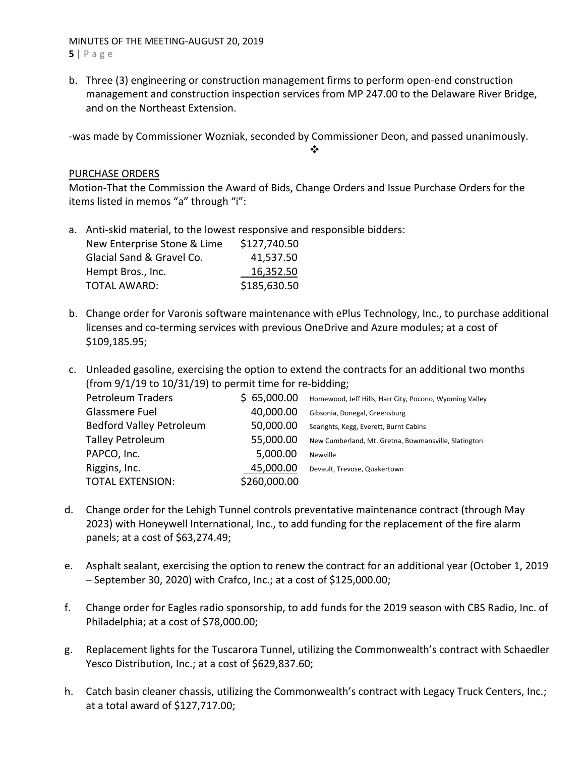#### MINUTES OF THE MEETING‐AUGUST 20, 2019 **5** | Page

b. Three (3) engineering or construction management firms to perform open‐end construction management and construction inspection services from MP 247.00 to the Delaware River Bridge, and on the Northeast Extension.

‐was made by Commissioner Wozniak, seconded by Commissioner Deon, and passed unanimously.

## $\frac{1}{2}$

# PURCHASE ORDERS

Motion‐That the Commission the Award of Bids, Change Orders and Issue Purchase Orders for the items listed in memos "a" through "i":

a. Anti‐skid material, to the lowest responsive and responsible bidders:

| New Enterprise Stone & Lime | \$127,740.50 |
|-----------------------------|--------------|
| Glacial Sand & Gravel Co.   | 41,537.50    |
| Hempt Bros., Inc.           | 16,352.50    |
| <b>TOTAL AWARD:</b>         | \$185,630.50 |

- b. Change order for Varonis software maintenance with ePlus Technology, Inc., to purchase additional licenses and co‐terming services with previous OneDrive and Azure modules; at a cost of \$109,185.95;
- c. Unleaded gasoline, exercising the option to extend the contracts for an additional two months (from  $9/1/19$  to  $10/31/19$ ) to permit time for re-bidding;

| <b>Petroleum Traders</b>        | \$65,000.00  | Homewood, Jeff Hills, Harr City, Pocono, Wyoming Valley |
|---------------------------------|--------------|---------------------------------------------------------|
| Glassmere Fuel                  | 40,000.00    | Gibsonia, Donegal, Greensburg                           |
| <b>Bedford Valley Petroleum</b> | 50,000.00    | Searights, Kegg, Everett, Burnt Cabins                  |
| <b>Talley Petroleum</b>         | 55,000.00    | New Cumberland, Mt. Gretna, Bowmansville, Slatington    |
| PAPCO, Inc.                     | 5,000.00     | Newville                                                |
| Riggins, Inc.                   | 45,000.00    | Devault, Trevose, Quakertown                            |
| <b>TOTAL EXTENSION:</b>         | \$260,000.00 |                                                         |

- d. Change order for the Lehigh Tunnel controls preventative maintenance contract (through May 2023) with Honeywell International, Inc., to add funding for the replacement of the fire alarm panels; at a cost of \$63,274.49;
- e. Asphalt sealant, exercising the option to renew the contract for an additional year (October 1, 2019 – September 30, 2020) with Crafco, Inc.; at a cost of \$125,000.00;
- f. Change order for Eagles radio sponsorship, to add funds for the 2019 season with CBS Radio, Inc. of Philadelphia; at a cost of \$78,000.00;
- g. Replacement lights for the Tuscarora Tunnel, utilizing the Commonwealth's contract with Schaedler Yesco Distribution, Inc.; at a cost of \$629,837.60;
- h. Catch basin cleaner chassis, utilizing the Commonwealth's contract with Legacy Truck Centers, Inc.; at a total award of \$127,717.00;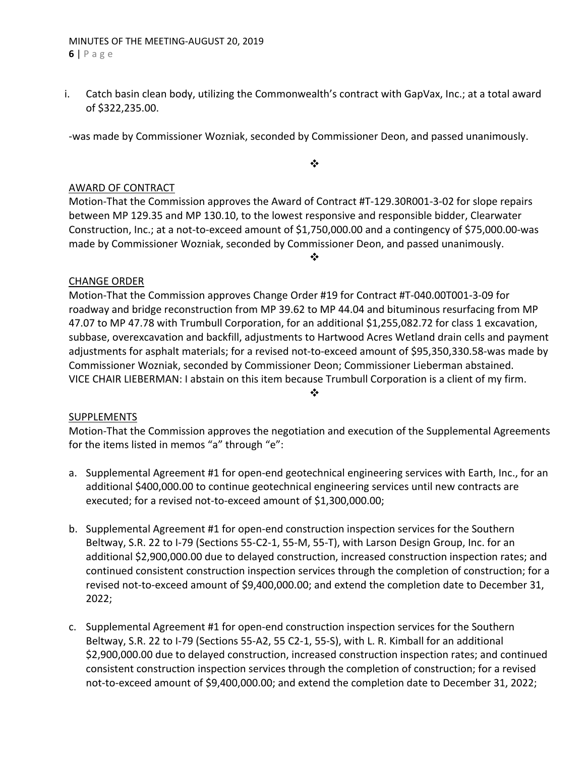i. Catch basin clean body, utilizing the Commonwealth's contract with GapVax, Inc.; at a total award of \$322,235.00.

‐was made by Commissioner Wozniak, seconded by Commissioner Deon, and passed unanimously.

 $\ddot{\bullet}$ 

# AWARD OF CONTRACT

Motion‐That the Commission approves the Award of Contract #T‐129.30R001‐3‐02 for slope repairs between MP 129.35 and MP 130.10, to the lowest responsive and responsible bidder, Clearwater Construction, Inc.; at a not‐to‐exceed amount of \$1,750,000.00 and a contingency of \$75,000.00‐was made by Commissioner Wozniak, seconded by Commissioner Deon, and passed unanimously.

❖

# CHANGE ORDER

Motion‐That the Commission approves Change Order #19 for Contract #T‐040.00T001‐3‐09 for roadway and bridge reconstruction from MP 39.62 to MP 44.04 and bituminous resurfacing from MP 47.07 to MP 47.78 with Trumbull Corporation, for an additional \$1,255,082.72 for class 1 excavation, subbase, overexcavation and backfill, adjustments to Hartwood Acres Wetland drain cells and payment adjustments for asphalt materials; for a revised not-to-exceed amount of \$95,350,330.58-was made by Commissioner Wozniak, seconded by Commissioner Deon; Commissioner Lieberman abstained. VICE CHAIR LIEBERMAN: I abstain on this item because Trumbull Corporation is a client of my firm.

# SUPPLEMENTS

Motion‐That the Commission approves the negotiation and execution of the Supplemental Agreements for the items listed in memos "a" through "e":

❖

- a. Supplemental Agreement #1 for open-end geotechnical engineering services with Earth, Inc., for an additional \$400,000.00 to continue geotechnical engineering services until new contracts are executed; for a revised not‐to‐exceed amount of \$1,300,000.00;
- b. Supplemental Agreement #1 for open‐end construction inspection services for the Southern Beltway, S.R. 22 to I-79 (Sections 55-C2-1, 55-M, 55-T), with Larson Design Group, Inc. for an additional \$2,900,000.00 due to delayed construction, increased construction inspection rates; and continued consistent construction inspection services through the completion of construction; for a revised not‐to‐exceed amount of \$9,400,000.00; and extend the completion date to December 31, 2022;
- c. Supplemental Agreement #1 for open‐end construction inspection services for the Southern Beltway, S.R. 22 to I-79 (Sections 55-A2, 55 C2-1, 55-S), with L. R. Kimball for an additional \$2,900,000.00 due to delayed construction, increased construction inspection rates; and continued consistent construction inspection services through the completion of construction; for a revised not-to-exceed amount of \$9,400,000.00; and extend the completion date to December 31, 2022;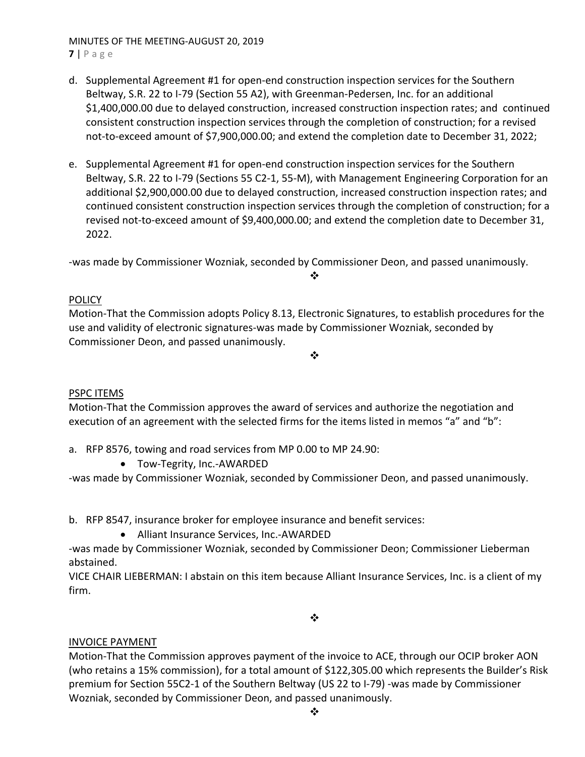#### MINUTES OF THE MEETING‐AUGUST 20, 2019 **7** | Page

- d. Supplemental Agreement #1 for open‐end construction inspection services for the Southern Beltway, S.R. 22 to I-79 (Section 55 A2), with Greenman-Pedersen, Inc. for an additional \$1,400,000.00 due to delayed construction, increased construction inspection rates; and continued consistent construction inspection services through the completion of construction; for a revised not-to-exceed amount of \$7,900,000.00; and extend the completion date to December 31, 2022;
- e. Supplemental Agreement #1 for open‐end construction inspection services for the Southern Beltway, S.R. 22 to I-79 (Sections 55 C2-1, 55-M), with Management Engineering Corporation for an additional \$2,900,000.00 due to delayed construction, increased construction inspection rates; and continued consistent construction inspection services through the completion of construction; for a revised not-to-exceed amount of \$9,400,000.00; and extend the completion date to December 31, 2022.

‐was made by Commissioner Wozniak, seconded by Commissioner Deon, and passed unanimously.

# POLICY

Motion‐That the Commission adopts Policy 8.13, Electronic Signatures, to establish procedures for the use and validity of electronic signatures‐was made by Commissioner Wozniak, seconded by Commissioner Deon, and passed unanimously.

❖

 $\frac{1}{2}$ 

# PSPC ITEMS

Motion‐That the Commission approves the award of services and authorize the negotiation and execution of an agreement with the selected firms for the items listed in memos "a" and "b":

a. RFP 8576, towing and road services from MP 0.00 to MP 24.90:

● Tow-Tegrity, Inc.-AWARDED

‐was made by Commissioner Wozniak, seconded by Commissioner Deon, and passed unanimously.

b. RFP 8547, insurance broker for employee insurance and benefit services:

● Alliant Insurance Services, Inc.-AWARDED

‐was made by Commissioner Wozniak, seconded by Commissioner Deon; Commissioner Lieberman abstained.

VICE CHAIR LIEBERMAN: I abstain on this item because Alliant Insurance Services, Inc. is a client of my firm.

❖

# INVOICE PAYMENT

Motion‐That the Commission approves payment of the invoice to ACE, through our OCIP broker AON (who retains a 15% commission), for a total amount of \$122,305.00 which represents the Builder's Risk premium for Section 55C2‐1 of the Southern Beltway (US 22 to I‐79) ‐was made by Commissioner Wozniak, seconded by Commissioner Deon, and passed unanimously.